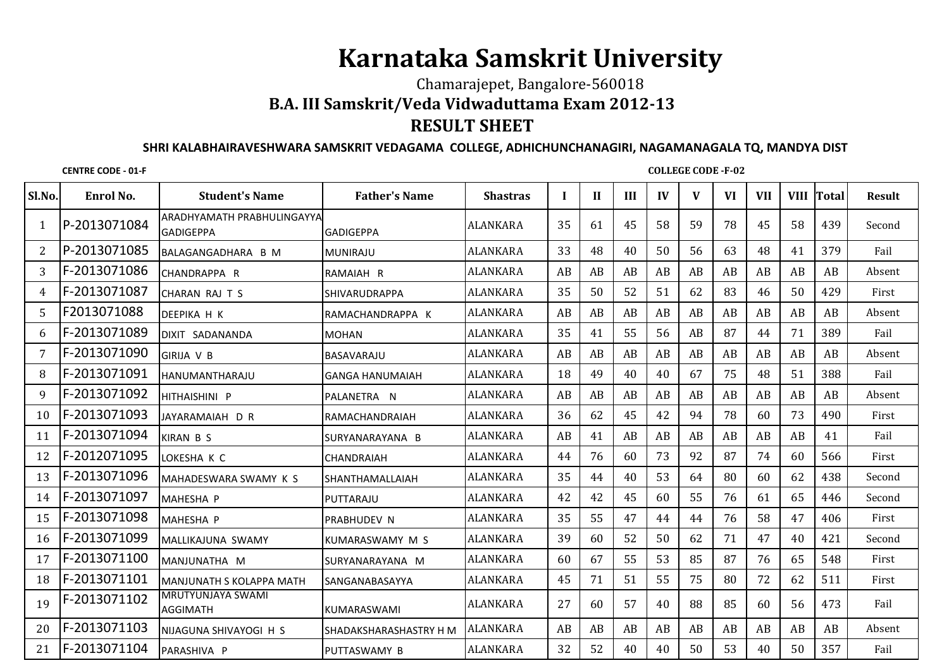## **Karnataka Samskrit University**

## Chamarajepet, Bangalore-560018 **B.A. III Samskrit/Veda Vidwaduttama Exam 2012-13RESULT SHEET**

## **SHRI KALABHAIRAVESHWARA SAMSKRIT VEDAGAMA COLLEGE, ADHICHUNCHANAGIRI, NAGAMANAGALA TQ, MANDYA DIST**

**CENTRE CODE - 01-F**

**COLLEGE CODE -F-02**

| Sl.No. | Enrol No.    | <b>Student's Name</b>                          | <b>Father's Name</b>   | <b>Shastras</b> | L  | $\mathbf{H}$ | III | $\mathbf{I}$ | V  | <b>VI</b> | <b>VII</b> | <b>VIII</b> | <b>Total</b> | <b>Result</b> |
|--------|--------------|------------------------------------------------|------------------------|-----------------|----|--------------|-----|--------------|----|-----------|------------|-------------|--------------|---------------|
| -1     | P-2013071084 | ARADHYAMATH PRABHULINGAYYA<br><b>GADIGEPPA</b> | <b>GADIGEPPA</b>       | <b>ALANKARA</b> | 35 | 61           | 45  | 58           | 59 | 78        | 45         | 58          | 439          | Second        |
| 2      | P-2013071085 | BALAGANGADHARA B M                             | <b>MUNIRAJU</b>        | <b>ALANKARA</b> | 33 | 48           | 40  | 50           | 56 | 63        | 48         | 41          | 379          | Fail          |
| 3      | F-2013071086 | CHANDRAPPA R                                   | RAMAIAH R              | ALANKARA        | AB | AB           | AB  | AB           | AB | AB        | AB         | AB          | AB           | Absent        |
| 4      | F-2013071087 | CHARAN RAJ T S                                 | <b>SHIVARUDRAPPA</b>   | ALANKARA        | 35 | 50           | 52  | 51           | 62 | 83        | 46         | 50          | 429          | First         |
| 5      | F2013071088  | DEEPIKA H K                                    | IRAMACHANDRAPPA K      | ALANKARA        | AB | AB           | AB  | AB           | AB | AB        | AB         | AB          | AB           | Absent        |
| 6      | F-2013071089 | DIXIT SADANANDA                                | <b>MOHAN</b>           | <b>ALANKARA</b> | 35 | 41           | 55  | 56           | AB | 87        | 44         | 71          | 389          | Fail          |
|        | F-2013071090 | <b>GIRIJA V B</b>                              | BASAVARAJU             | <b>ALANKARA</b> | AB | AB           | AB  | AB           | AB | AB        | AB         | AB          | AB           | Absent        |
| 8      | F-2013071091 | <b>HANUMANTHARAJU</b>                          | <b>GANGA HANUMAIAH</b> | <b>ALANKARA</b> | 18 | 49           | 40  | 40           | 67 | 75        | 48         | 51          | 388          | Fail          |
| 9      | F-2013071092 | HITHAISHINI P                                  | PALANETRA N            | <b>ALANKARA</b> | AB | AB           | AB  | AB           | AB | AB        | AB         | AB          | AB           | Absent        |
| 10     | F-2013071093 | JAYARAMAIAH D R                                | RAMACHANDRAIAH         | <b>ALANKARA</b> | 36 | 62           | 45  | 42           | 94 | 78        | 60         | 73          | 490          | First         |
| 11     | F-2013071094 | <b>KIRAN B S</b>                               | SURYANARAYANA B        | ALANKARA        | AB | 41           | AB  | AB           | AB | AB        | AB         | AB          | 41           | Fail          |
| 12     | F-2012071095 | LOKESHA K C                                    | <b>CHANDRAIAH</b>      | <b>ALANKARA</b> | 44 | 76           | 60  | 73           | 92 | 87        | 74         | 60          | 566          | First         |
| 13     | F-2013071096 | MAHADESWARA SWAMY K S                          | <b>SHANTHAMALLAIAH</b> | <b>ALANKARA</b> | 35 | 44           | 40  | 53           | 64 | 80        | 60         | 62          | 438          | Second        |
| 14     | F-2013071097 | MAHESHA P                                      | PUTTARAJU              | <b>ALANKARA</b> | 42 | 42           | 45  | 60           | 55 | 76        | 61         | 65          | 446          | Second        |
| 15     | F-2013071098 | MAHESHA P                                      | <b>IPRABHUDEV N</b>    | ALANKARA        | 35 | 55           | 47  | 44           | 44 | 76        | 58         | 47          | 406          | First         |
| 16     | F-2013071099 | MALLIKAJUNA SWAMY                              | KUMARASWAMY M S        | ALANKARA        | 39 | 60           | 52  | 50           | 62 | 71        | 47         | 40          | 421          | Second        |
| 17     | F-2013071100 | MANJUNATHA M                                   | ISURYANARAYANA M       | ALANKARA        | 60 | 67           | 55  | 53           | 85 | 87        | 76         | 65          | 548          | First         |
| 18     | F-2013071101 | <b>MANJUNATH S KOLAPPA MATH</b>                | <b>SANGANABASAYYA</b>  | <b>ALANKARA</b> | 45 | 71           | 51  | 55           | 75 | 80        | 72         | 62          | 511          | First         |
| 19     | F-2013071102 | <b>MRUTYUNJAYA SWAMI</b><br><b>AGGIMATH</b>    | KUMARASWAMI            | <b>ALANKARA</b> | 27 | 60           | 57  | 40           | 88 | 85        | 60         | 56          | 473          | Fail          |
| 20     | F-2013071103 | INIJAGUNA SHIVAYOGI H S                        | SHADAKSHARASHASTRY H M | <b>ALANKARA</b> | AB | AB           | AB  | AB           | AB | AB        | AB         | AB          | AB           | Absent        |
| 21     | F-2013071104 | PARASHIVA P                                    | PUTTASWAMY B           | <b>ALANKARA</b> | 32 | 52           | 40  | 40           | 50 | 53        | 40         | 50          | 357          | Fail          |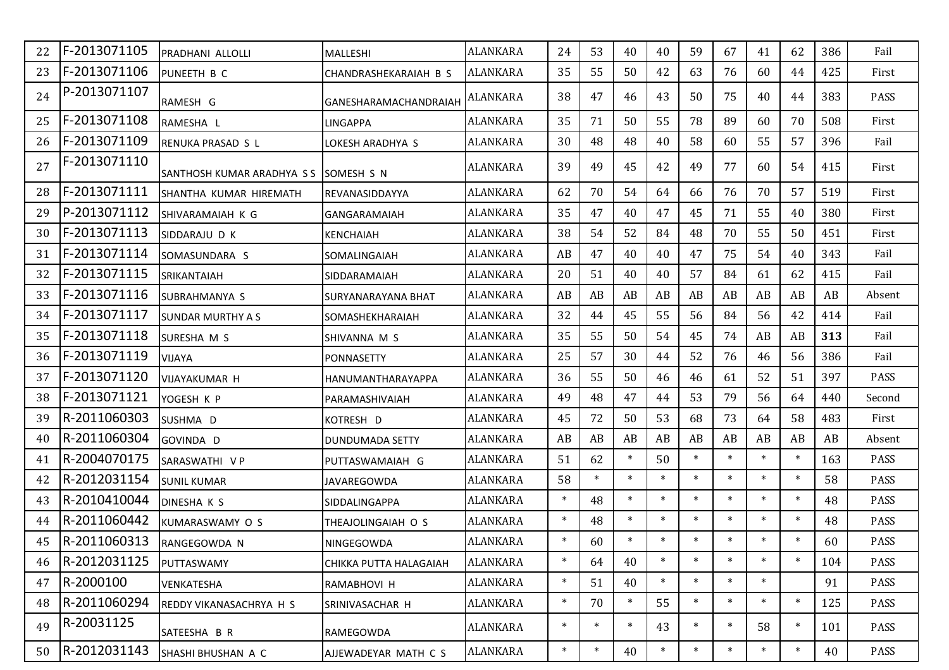|    | F-2013071105 | PRADHANI ALLOLLI                  | MALLESHI               | <b>ALANKARA</b> | 24     | 53     | 40     | 40     | 59     | 67     | 41     | 62     | 386 | Fail        |
|----|--------------|-----------------------------------|------------------------|-----------------|--------|--------|--------|--------|--------|--------|--------|--------|-----|-------------|
| 23 | F-2013071106 | PUNEETH B C                       | CHANDRASHEKARAIAH B S  | <b>ALANKARA</b> | 35     | 55     | 50     | 42     | 63     | 76     | 60     | 44     | 425 | First       |
| 24 | P-2013071107 | RAMESH G                          | GANESHARAMACHANDRAIAH  | ALANKARA        | 38     | 47     | 46     | 43     | 50     | 75     | 40     | 44     | 383 | <b>PASS</b> |
| 25 | F-2013071108 | RAMESHA L                         | <b>LINGAPPA</b>        | ALANKARA        | 35     | 71     | 50     | 55     | 78     | 89     | 60     | 70     | 508 | First       |
| 26 | F-2013071109 | RENUKA PRASAD S L                 | LOKESH ARADHYA S       | ALANKARA        | 30     | 48     | 48     | 40     | 58     | 60     | 55     | 57     | 396 | Fail        |
| 27 | F-2013071110 | <b>SANTHOSH KUMAR ARADHYA S S</b> | <b>ISOMESH S N</b>     | <b>ALANKARA</b> | 39     | 49     | 45     | 42     | 49     | 77     | 60     | 54     | 415 | First       |
| 28 | F-2013071111 | SHANTHA KUMAR HIREMATH            | IREVANASIDDAYYA        | <b>ALANKARA</b> | 62     | 70     | 54     | 64     | 66     | 76     | 70     | 57     | 519 | First       |
| 29 | P-2013071112 | SHIVARAMAIAH K G                  | GANGARAMAIAH           | ALANKARA        | 35     | 47     | 40     | 47     | 45     | 71     | 55     | 40     | 380 | First       |
| 30 | F-2013071113 | SIDDARAJU D K                     | <b>KENCHAIAH</b>       | ALANKARA        | 38     | 54     | 52     | 84     | 48     | 70     | 55     | 50     | 451 | First       |
| 31 | F-2013071114 | SOMASUNDARA S                     | SOMALINGAIAH           | <b>ALANKARA</b> | AB     | 47     | 40     | 40     | 47     | 75     | 54     | 40     | 343 | Fail        |
| 32 | F-2013071115 | <b>SRIKANTAIAH</b>                | SIDDARAMAIAH           | <b>ALANKARA</b> | 20     | 51     | 40     | 40     | 57     | 84     | 61     | 62     | 415 | Fail        |
| 33 | F-2013071116 | SUBRAHMANYA S                     | SURYANARAYANA BHAT     | <b>ALANKARA</b> | AB     | AB     | AB     | AB     | AB     | AB     | AB     | AB     | AB  | Absent      |
| 34 | F-2013071117 | <b>SUNDAR MURTHY A S</b>          | SOMASHEKHARAIAH        | ALANKARA        | 32     | 44     | 45     | 55     | 56     | 84     | 56     | 42     | 414 | Fail        |
| 35 | F-2013071118 | SURESHA M S                       | SHIVANNA M S           | ALANKARA        | 35     | 55     | 50     | 54     | 45     | 74     | AB     | AB     | 313 | Fail        |
| 36 | F-2013071119 | <b>VIJAYA</b>                     | <b>PONNASETTY</b>      | ALANKARA        | 25     | 57     | 30     | 44     | 52     | 76     | 46     | 56     | 386 | Fail        |
| 37 | F-2013071120 | VIJAYAKUMAR H                     | HANUMANTHARAYAPPA      | ALANKARA        | 36     | 55     | 50     | 46     | 46     | 61     | 52     | 51     | 397 | PASS        |
| 38 | F-2013071121 | YOGESH K P                        | PARAMASHIVAIAH         | ALANKARA        | 49     | 48     | 47     | 44     | 53     | 79     | 56     | 64     | 440 | Second      |
| 39 | R-2011060303 | SUSHMA D                          | KOTRESH D              | ALANKARA        | 45     | 72     | 50     | 53     | 68     | 73     | 64     | 58     | 483 | First       |
| 40 | R-2011060304 | GOVINDA D                         | <b>DUNDUMADA SETTY</b> | ALANKARA        | AB     | AB     | AB     | AB     | AB     | AB     | AB     | AB     | AB  | Absent      |
| 41 | R-2004070175 | SARASWATHI V P                    | PUTTASWAMAIAH G        | <b>ALANKARA</b> | 51     | 62     | $\ast$ | 50     | $\ast$ | $\ast$ | $\ast$ | $\ast$ | 163 | <b>PASS</b> |
| 42 | R-2012031154 | <b>SUNIL KUMAR</b>                | <b>JAVAREGOWDA</b>     | <b>ALANKARA</b> | 58     | $\ast$ | $\ast$ | $\ast$ | $\ast$ | $\ast$ | $\ast$ | $\ast$ | 58  | <b>PASS</b> |
| 43 | R-2010410044 | <b>DINESHA K S</b>                | <b>SIDDALINGAPPA</b>   | <b>ALANKARA</b> | $\ast$ | 48     | $\ast$ | $\ast$ | $\ast$ | $\ast$ | $\ast$ | $\ast$ | 48  | <b>PASS</b> |
| 44 | R-2011060442 | KUMARASWAMY O S                   | THEAJOLINGAIAH O S     | <b>ALANKARA</b> | $\ast$ | 48     | $\ast$ | $\ast$ | $\ast$ | $\ast$ | $\ast$ | $\ast$ | 48  | <b>PASS</b> |
| 45 | R-2011060313 | RANGEGOWDA N                      | NINGEGOWDA             | <b>ALANKARA</b> | $\ast$ | 60     | $\ast$ | $\ast$ | $\ast$ | $\ast$ | $\ast$ | $\ast$ | 60  | PASS        |
| 46 | R-2012031125 | PUTTASWAMY                        | CHIKKA PUTTA HALAGAIAH | ALANKARA        | $\ast$ | 64     | 40     | $\ast$ | $\ast$ | $\ast$ | $\ast$ | $\ast$ | 104 | <b>PASS</b> |
| 47 | R-2000100    | VENKATESHA                        | RAMABHOVI H            | <b>ALANKARA</b> | $\ast$ | 51     | 40     | $\ast$ | $\ast$ | $\ast$ | $\ast$ |        | 91  | PASS        |
| 48 | R-2011060294 | REDDY VIKANASACHRYA H S           | SRINIVASACHAR H        | ALANKARA        | $\ast$ | 70     | $\ast$ | 55     | $\ast$ | $\ast$ | $\ast$ | $\ast$ | 125 | PASS        |
| 49 | R-20031125   | SATEESHA B R                      | RAMEGOWDA              | ALANKARA        | $\ast$ | $\ast$ | $\ast$ | 43     | $\ast$ | $\ast$ | 58     | $\ast$ | 101 | PASS        |
| 50 | R-2012031143 | SHASHI BHUSHAN A C                | AJJEWADEYAR MATH C S   | <b>ALANKARA</b> | $\ast$ | $\ast$ | 40     | $\ast$ | $\ast$ | $\ast$ | $\ast$ | $\ast$ | 40  | PASS        |